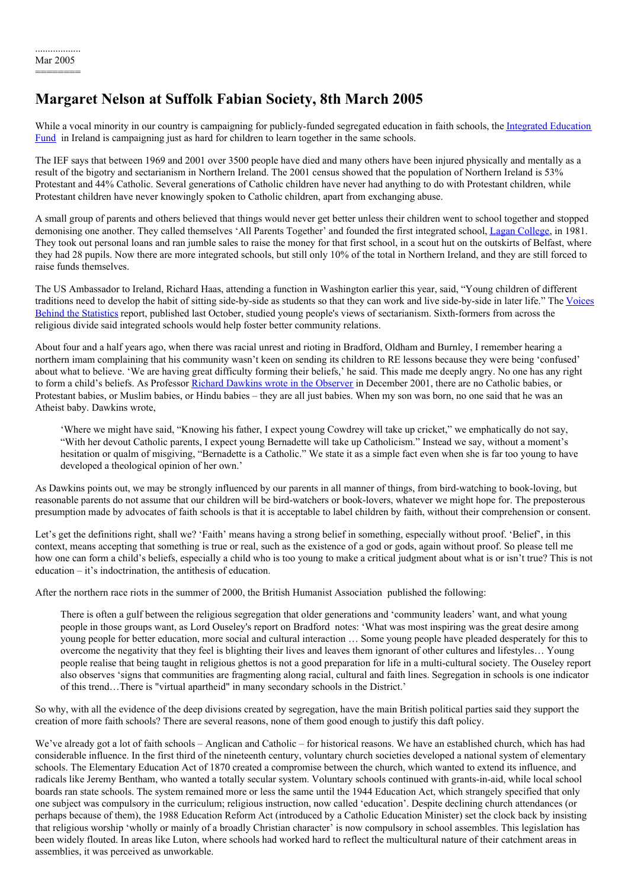# **Margaret Nelson at Suffolk Fabian Society, 8th March 2005**

While a vocal minority in our country is campaigning for [publicly-funded](http://www.ief.org.uk/) segregated education in faith schools, the Integrated Education Fund in Ireland is campaigning just as hard for children to learn together in the same schools.

The IEF says that between 1969 and 2001 over 3500 people have died and many others have been injured physically and mentally as a result of the bigotry and sectarianism in Northern Ireland. The 2001 census showed that the population of Northern Ireland is 53% Protestant and 44% Catholic. Several generations of Catholic children have never had anything to do with Protestant children, while Protestant children have never knowingly spoken to Catholic children, apart from exchanging abuse.

A small group of parents and others believed that things would never get better unless their children went to school together and stopped demonising one another. They called themselves 'All Parents Together' and founded the first integrated school, Lagan [College](http://www.lagancollege.com/), in 1981. They took out personal loans and ran jumble sales to raise the money for that first school, in a scout hut on the outskirts of Belfast, where they had 28 pupils. Now there are more integrated schools, but still only 10% of the total in Northern Ireland, and they are still forced to raise funds themselves.

The US Ambassador to Ireland, Richard Haas, attending a function in Washington earlier this year, said, "Young children of different traditions need to develop the habit of sitting side-by-side as students so that they can work and live side-by-side in later life." The Voices Behind the Statistics report, published last October, studied young people's views of sectarianism. [Sixth-formers](http://www.ofmdfmni.gov.uk/voices.pdf) from across the religious divide said integrated schools would help foster better community relations.

About four and a half years ago, when there was racial unrest and rioting in Bradford, Oldham and Burnley, I remember hearing a northern imam complaining that his community wasn't keen on sending its children to RE lessons because they were being 'confused' about what to believe. 'We are having great difficulty forming their beliefs,' he said. This made me deeply angry. No one has any right to form a child's beliefs. As Professor Richard Dawkins wrote in the [Observer](http://observer.guardian.co.uk/comment/story/0,,625743,00.html) in December 2001, there are no Catholic babies, or Protestant babies, or Muslim babies, or Hindu babies – they are all just babies. When my son was born, no one said that he was an Atheist baby. Dawkins wrote,

'Where we might have said, "Knowing his father, I expect young Cowdrey will take up cricket," we emphatically do not say, "With her devout Catholic parents, I expect young Bernadette will take up Catholicism." Instead we say, without a moment's hesitation or qualm of misgiving, "Bernadette is a Catholic." We state it as a simple fact even when she is far too young to have developed a theological opinion of her own.'

As Dawkins points out, we may be strongly influenced by our parents in all manner of things, from bird-watching to book-loving, but reasonable parents do not assume that our children will be bird-watchers or book-lovers, whatever we might hope for. The preposterous presumption made by advocates of faith schools is that it is acceptable to label children by faith, without their comprehension or consent.

Let's get the definitions right, shall we? 'Faith' means having a strong belief in something, especially without proof. 'Belief', in this context, means accepting that something is true or real, such as the existence of a god or gods, again without proof. So please tell me how one can form a child's beliefs, especially a child who is too young to make a critical judgment about what is or isn't true? This is not education – it's indoctrination, the antithesis of education.

After the northern race riots in the summer of 2000, the British Humanist Association published the following:

There is often a gulf between the religious segregation that older generations and 'community leaders' want, and what young people in those groups want, as Lord Ouseley's report on Bradford notes: 'What was most inspiring was the great desire among young people for better education, more social and cultural interaction … Some young people have pleaded desperately for this to overcome the negativity that they feel is blighting their lives and leaves them ignorant of other cultures and lifestyles… Young people realise that being taught in religious ghettos is not a good preparation for life in a multi-cultural society. The Ouseley report also observes 'signs that communities are fragmenting along racial, cultural and faith lines. Segregation in schools is one indicator of this trend…There is "virtual apartheid" in many secondary schools in the District.'

So why, with all the evidence of the deep divisions created by segregation, have the main British political parties said they support the creation of more faith schools? There are several reasons, none of them good enough to justify this daft policy.

We've already got a lot of faith schools – Anglican and Catholic – for historical reasons. We have an established church, which has had considerable influence. In the first third of the nineteenth century, voluntary church societies developed a national system of elementary schools. The Elementary Education Act of 1870 created a compromise between the church, which wanted to extend its influence, and radicals like Jeremy Bentham, who wanted a totally secular system. Voluntary schools continued with grants-in-aid, while local school boards ran state schools. The system remained more or less the same until the 1944 Education Act, which strangely specified that only one subject was compulsory in the curriculum; religious instruction, now called 'education'. Despite declining church attendances (or perhaps because of them), the 1988 Education Reform Act (introduced by a Catholic Education Minister) set the clock back by insisting that religious worship 'wholly or mainly of a broadly Christian character' is now compulsory in school assembles. This legislation has been widely flouted. In areas like Luton, where schools had worked hard to reflect the multicultural nature of their catchment areas in assemblies, it was perceived as unworkable.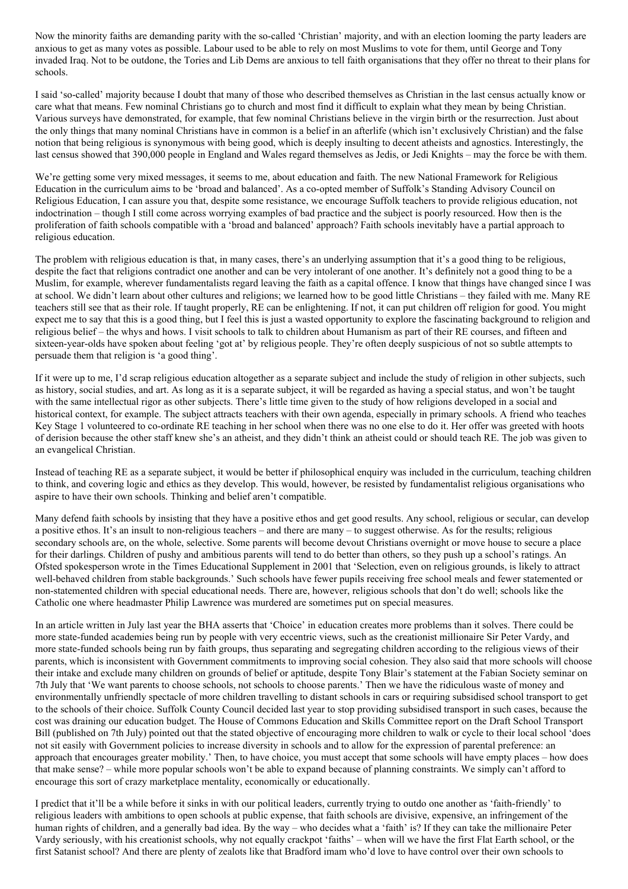Now the minority faiths are demanding parity with the so-called 'Christian' majority, and with an election looming the party leaders are anxious to get as many votes as possible. Labour used to be able to rely on most Muslims to vote for them, until George and Tony invaded Iraq. Not to be outdone, the Tories and Lib Dems are anxious to tell faith organisations that they offer no threat to their plans for schools.

I said 'so-called' majority because I doubt that many of those who described themselves as Christian in the last census actually know or care what that means. Few nominal Christians go to church and most find it difficult to explain what they mean by being Christian. Various surveys have demonstrated, for example, that few nominal Christians believe in the virgin birth or the resurrection. Just about the only things that many nominal Christians have in common is a belief in an afterlife (which isn't exclusively Christian) and the false notion that being religious is synonymous with being good, which is deeply insulting to decent atheists and agnostics. Interestingly, the last census showed that 390,000 people in England and Wales regard themselves as Jedis, or Jedi Knights – may the force be with them.

We're getting some very mixed messages, it seems to me, about education and faith. The new National Framework for Religious Education in the curriculum aims to be 'broad and balanced'. As a co-opted member of Suffolk's Standing Advisory Council on Religious Education, I can assure you that, despite some resistance, we encourage Suffolk teachers to provide religious education, not indoctrination – though I still come across worrying examples of bad practice and the subject is poorly resourced. How then is the proliferation of faith schools compatible with a 'broad and balanced' approach? Faith schools inevitably have a partial approach to religious education.

The problem with religious education is that, in many cases, there's an underlying assumption that it's a good thing to be religious, despite the fact that religions contradict one another and can be very intolerant of one another. It's definitely not a good thing to be a Muslim, for example, wherever fundamentalists regard leaving the faith as a capital offence. I know that things have changed since I was at school. We didn't learn about other cultures and religions; we learned how to be good little Christians – they failed with me. Many RE teachers still see that as their role. If taught properly, RE can be enlightening. If not, it can put children off religion for good. You might expect me to say that this is a good thing, but I feel this is just a wasted opportunity to explore the fascinating background to religion and religious belief – the whys and hows. I visit schools to talk to children about Humanism as part of their RE courses, and fifteen and sixteen-year-olds have spoken about feeling 'got at' by religious people. They're often deeply suspicious of not so subtle attempts to persuade them that religion is 'a good thing'.

If it were up to me, I'd scrap religious education altogether as a separate subject and include the study of religion in other subjects, such as history, social studies, and art. As long as it is a separate subject, it will be regarded as having a special status, and won't be taught with the same intellectual rigor as other subjects. There's little time given to the study of how religions developed in a social and historical context, for example. The subject attracts teachers with their own agenda, especially in primary schools. A friend who teaches Key Stage 1 volunteered to co-ordinate RE teaching in her school when there was no one else to do it. Her offer was greeted with hoots of derision because the other staff knew she's an atheist, and they didn't think an atheist could or should teach RE. The job was given to an evangelical Christian.

Instead of teaching RE as a separate subject, it would be better if philosophical enquiry was included in the curriculum, teaching children to think, and covering logic and ethics as they develop. This would, however, be resisted by fundamentalist religious organisations who aspire to have their own schools. Thinking and belief aren't compatible.

Many defend faith schools by insisting that they have a positive ethos and get good results. Any school, religious or secular, can develop a positive ethos. It's an insult to non-religious teachers – and there are many – to suggest otherwise. As for the results; religious secondary schools are, on the whole, selective. Some parents will become devout Christians overnight or move house to secure a place for their darlings. Children of pushy and ambitious parents will tend to do better than others, so they push up a school's ratings. An Ofsted spokesperson wrote in the Times Educational Supplement in 2001 that 'Selection, even on religious grounds, is likely to attract well-behaved children from stable backgrounds.' Such schools have fewer pupils receiving free school meals and fewer statemented or non-statemented children with special educational needs. There are, however, religious schools that don't do well; schools like the Catholic one where headmaster Philip Lawrence was murdered are sometimes put on special measures.

In an article written in July last year the BHA asserts that 'Choice' in education creates more problems than it solves. There could be more state-funded academies being run by people with very eccentric views, such as the creationist millionaire Sir Peter Vardy, and more state-funded schools being run by faith groups, thus separating and segregating children according to the religious views of their parents, which is inconsistent with Government commitments to improving social cohesion. They also said that more schools will choose their intake and exclude many children on grounds of belief or aptitude, despite Tony Blair's statement at the Fabian Society seminar on 7th July that 'We want parents to choose schools, not schools to choose parents.' Then we have the ridiculous waste of money and environmentally unfriendly spectacle of more children travelling to distant schools in cars or requiring subsidised school transport to get to the schools of their choice. Suffolk County Council decided last year to stop providing subsidised transport in such cases, because the cost was draining our education budget. The House of Commons Education and Skills Committee report on the Draft School Transport Bill (published on 7th July) pointed out that the stated objective of encouraging more children to walk or cycle to their local school 'does not sit easily with Government policies to increase diversity in schools and to allow for the expression of parental preference: an approach that encourages greater mobility.' Then, to have choice, you must accept that some schools will have empty places – how does that make sense? – while more popular schools won't be able to expand because of planning constraints. We simply can't afford to encourage this sort of crazy marketplace mentality, economically or educationally.

I predict that it'll be a while before it sinks in with our political leaders, currently trying to outdo one another as 'faith-friendly' to religious leaders with ambitions to open schools at public expense, that faith schools are divisive, expensive, an infringement of the human rights of children, and a generally bad idea. By the way – who decides what a 'faith' is? If they can take the millionaire Peter Vardy seriously, with his creationist schools, why not equally crackpot 'faiths' – when will we have the first Flat Earth school, or the first Satanist school? And there are plenty of zealots like that Bradford imam who'd love to have control over their own schools to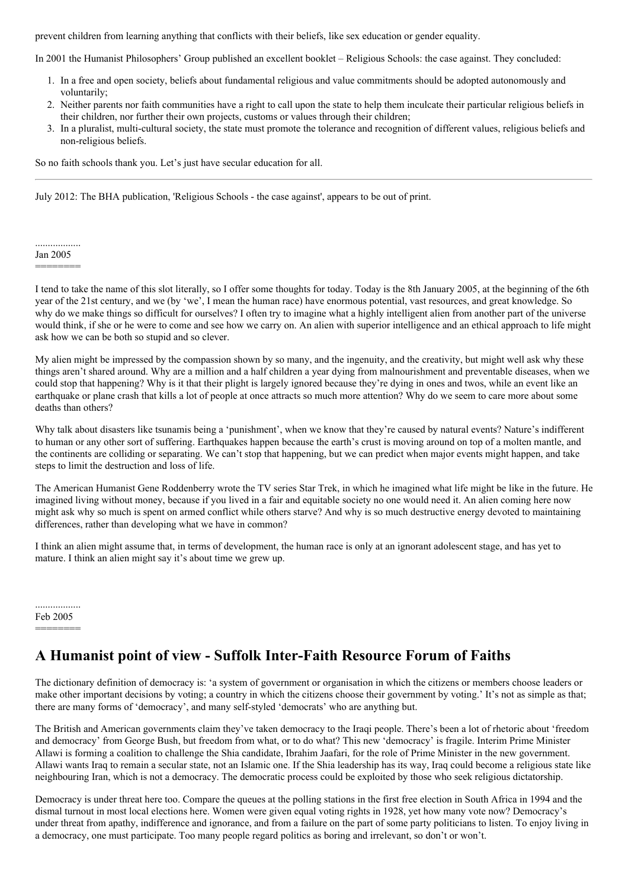prevent children from learning anything that conflicts with their beliefs, like sex education or gender equality.

In 2001 the Humanist Philosophers' Group published an excellent booklet – Religious Schools: the case against. They concluded:

- 1. In a free and open society, beliefs about fundamental religious and value commitments should be adopted autonomously and voluntarily;
- 2. Neither parents nor faith communities have a right to call upon the state to help them inculcate their particular religious beliefs in their children, nor further their own projects, customs or values through their children;
- 3. In a pluralist, multi-cultural society, the state must promote the tolerance and recognition of different values, religious beliefs and non-religious beliefs.

So no faith schools thank you. Let's just have secular education for all.

July 2012: The BHA publication, 'Religious Schools - the case against', appears to be out of print.

#### .................. Jan 2005

```
========
```
I tend to take the name of this slot literally, so I offer some thoughts for today. Today is the 8th January 2005, at the beginning of the 6th year of the 21st century, and we (by 'we', I mean the human race) have enormous potential, vast resources, and great knowledge. So why do we make things so difficult for ourselves? I often try to imagine what a highly intelligent alien from another part of the universe would think, if she or he were to come and see how we carry on. An alien with superior intelligence and an ethical approach to life might ask how we can be both so stupid and so clever.

My alien might be impressed by the compassion shown by so many, and the ingenuity, and the creativity, but might well ask why these things aren't shared around. Why are a million and a half children a year dying from malnourishment and preventable diseases, when we could stop that happening? Why is it that their plight is largely ignored because they're dying in ones and twos, while an event like an earthquake or plane crash that kills a lot of people at once attracts so much more attention? Why do we seem to care more about some deaths than others?

Why talk about disasters like tsunamis being a 'punishment', when we know that they're caused by natural events? Nature's indifferent to human or any other sort of suffering. Earthquakes happen because the earth's crust is moving around on top of a molten mantle, and the continents are colliding or separating. We can't stop that happening, but we can predict when major events might happen, and take steps to limit the destruction and loss of life.

The American Humanist Gene Roddenberry wrote the TV series Star Trek, in which he imagined what life might be like in the future. He imagined living without money, because if you lived in a fair and equitable society no one would need it. An alien coming here now might ask why so much is spent on armed conflict while others starve? And why is so much destructive energy devoted to maintaining differences, rather than developing what we have in common?

I think an alien might assume that, in terms of development, the human race is only at an ignorant adolescent stage, and has yet to mature. I think an alien might say it's about time we grew up.

.................. Feb 2005 ========

# **A Humanist point of view - Suffolk Inter-Faith Resource Forum of Faiths**

The dictionary definition of democracy is: 'a system of government or organisation in which the citizens or members choose leaders or make other important decisions by voting; a country in which the citizens choose their government by voting.' It's not as simple as that; there are many forms of 'democracy', and many self-styled 'democrats' who are anything but.

The British and American governments claim they've taken democracy to the Iraqi people. There's been a lot of rhetoric about 'freedom and democracy' from George Bush, but freedom from what, or to do what? This new 'democracy' is fragile. Interim Prime Minister Allawi is forming a coalition to challenge the Shia candidate, Ibrahim Jaafari, for the role of Prime Minister in the new government. Allawi wants Iraq to remain a secular state, not an Islamic one. If the Shia leadership has its way, Iraq could become a religious state like neighbouring Iran, which is not a democracy. The democratic process could be exploited by those who seek religious dictatorship.

Democracy is under threat here too. Compare the queues at the polling stations in the first free election in South Africa in 1994 and the dismal turnout in most local elections here. Women were given equal voting rights in 1928, yet how many vote now? Democracy's under threat from apathy, indifference and ignorance, and from a failure on the part of some party politicians to listen. To enjoy living in a democracy, one must participate. Too many people regard politics as boring and irrelevant, so don't or won't.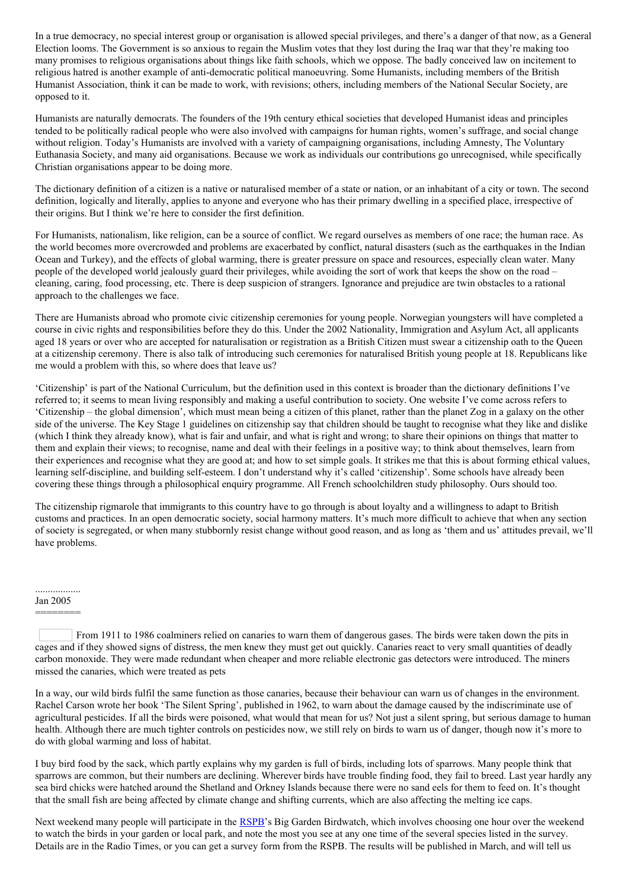In a true democracy, no special interest group or organisation is allowed special privileges, and there's a danger of that now, as a General Election looms. The Government is so anxious to regain the Muslim votes that they lost during the Iraq war that they're making too many promises to religious organisations about things like faith schools, which we oppose. The badly conceived law on incitement to religious hatred is another example of anti-democratic political manoeuvring. Some Humanists, including members of the British Humanist Association, think it can be made to work, with revisions; others, including members of the National Secular Society, are opposed to it.

Humanists are naturally democrats. The founders of the 19th century ethical societies that developed Humanist ideas and principles tended to be politically radical people who were also involved with campaigns for human rights, women's suffrage, and social change without religion. Today's Humanists are involved with a variety of campaigning organisations, including Amnesty, The Voluntary Euthanasia Society, and many aid organisations. Because we work as individuals our contributions go unrecognised, while specifically Christian organisations appear to be doing more.

The dictionary definition of a citizen is a native or naturalised member of a state or nation, or an inhabitant of a city or town. The second definition, logically and literally, applies to anyone and everyone who has their primary dwelling in a specified place, irrespective of their origins. But I think we're here to consider the first definition.

For Humanists, nationalism, like religion, can be a source of conflict. We regard ourselves as members of one race; the human race. As the world becomes more overcrowded and problems are exacerbated by conflict, natural disasters (such as the earthquakes in the Indian Ocean and Turkey), and the effects of global warming, there is greater pressure on space and resources, especially clean water. Many people of the developed world jealously guard their privileges, while avoiding the sort of work that keeps the show on the road – cleaning, caring, food processing, etc. There is deep suspicion of strangers. Ignorance and prejudice are twin obstacles to a rational approach to the challenges we face.

There are Humanists abroad who promote civic citizenship ceremonies for young people. Norwegian youngsters will have completed a course in civic rights and responsibilities before they do this. Under the 2002 Nationality, Immigration and Asylum Act, all applicants aged 18 years or over who are accepted for naturalisation or registration as a British Citizen must swear a citizenship oath to the Queen at a citizenship ceremony. There is also talk of introducing such ceremonies for naturalised British young people at 18. Republicans like me would a problem with this, so where does that leave us?

'Citizenship' is part of the National Curriculum, but the definition used in this context is broader than the dictionary definitions I've referred to; it seems to mean living responsibly and making a useful contribution to society. One website I've come across refers to 'Citizenship – the global dimension', which must mean being a citizen of this planet, rather than the planet Zog in a galaxy on the other side of the universe. The Key Stage 1 guidelines on citizenship say that children should be taught to recognise what they like and dislike (which I think they already know), what is fair and unfair, and what is right and wrong; to share their opinions on things that matter to them and explain their views; to recognise, name and deal with their feelings in a positive way; to think about themselves, learn from their experiences and recognise what they are good at; and how to set simple goals. It strikes me that this is about forming ethical values, learning self-discipline, and building self-esteem. I don't understand why it's called 'citizenship'. Some schools have already been covering these things through a philosophical enquiry programme. All French schoolchildren study philosophy. Ours should too.

The citizenship rigmarole that immigrants to this country have to go through is about loyalty and a willingness to adapt to British customs and practices. In an open democratic society, social harmony matters. It's much more difficult to achieve that when any section of society is segregated, or when many stubbornly resist change without good reason, and as long as 'them and us' attitudes prevail, we'll have problems.

## .................. Jan 2005 ========

In a way, our wild birds fulfil the same function as those canaries, because their behaviour can warn us of changes in the environment. Rachel Carson wrote her book 'The Silent Spring', published in 1962, to warn about the damage caused by the indiscriminate use of agricultural pesticides. If all the birds were poisoned, what would that mean for us? Not just a silent spring, but serious damage to human health. Although there are much tighter controls on pesticides now, we still rely on birds to warn us of danger, though now it's more to do with global warming and loss of habitat.

I buy bird food by the sack, which partly explains why my garden is full of birds, including lots of sparrows. Many people think that sparrows are common, but their numbers are declining. Wherever birds have trouble finding food, they fail to breed. Last year hardly any sea bird chicks were hatched around the Shetland and Orkney Islands because there were no sand eels for them to feed on. It's thought that the small fish are being affected by climate change and shifting currents, which are also affecting the melting ice caps.

Next weekend many people will participate in the [RSPB](http://www.rspb.org.uk/)'s Big Garden Birdwatch, which involves choosing one hour over the weekend to watch the birds in your garden or local park, and note the most you see at any one time of the several species listed in the survey. Details are in the Radio Times, or you can get a survey form from the RSPB. The results will be published in March, and will tell us

From 1911 to 1986 coalminers relied on canaries to warn them of dangerous gases. The birds were taken down the pits in cages and if they showed signs of distress, the men knew they must get out quickly. Canaries react to very small quantities of deadly carbon monoxide. They were made redundant when cheaper and more reliable electronic gas detectors were introduced. The miners missed the canaries, which were treated as pets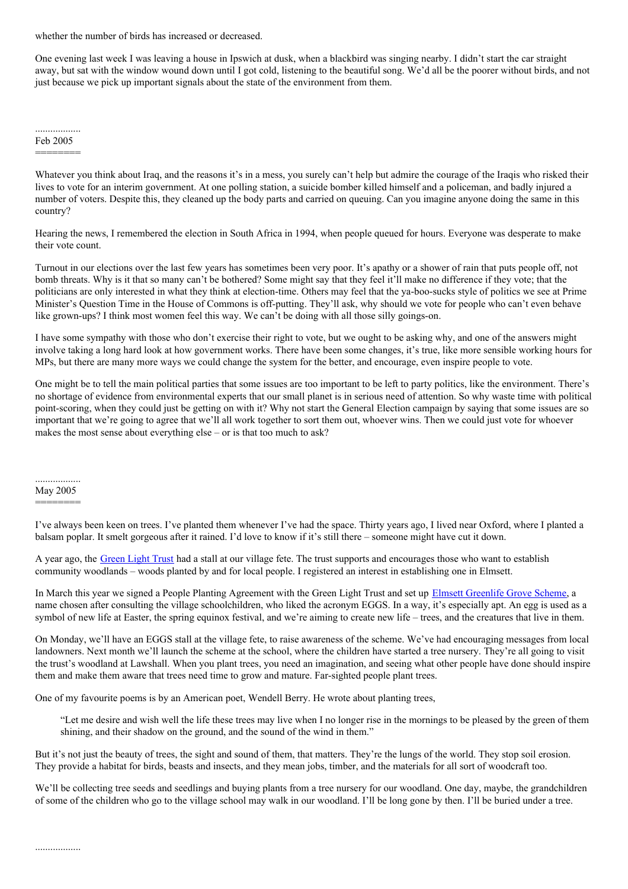whether the number of birds has increased or decreased.

One evening last week I was leaving a house in Ipswich at dusk, when a blackbird was singing nearby. I didn't start the car straight away, but sat with the window wound down until I got cold, listening to the beautiful song. We'd all be the poorer without birds, and not just because we pick up important signals about the state of the environment from them.

.................. Feb 2005

========

Whatever you think about Iraq, and the reasons it's in a mess, you surely can't help but admire the courage of the Iraqis who risked their lives to vote for an interim government. At one polling station, a suicide bomber killed himself and a policeman, and badly injured a number of voters. Despite this, they cleaned up the body parts and carried on queuing. Can you imagine anyone doing the same in this country?

Hearing the news, I remembered the election in South Africa in 1994, when people queued for hours. Everyone was desperate to make their vote count.

Turnout in our elections over the last few years has sometimes been very poor. It's apathy or a shower of rain that puts people off, not bomb threats. Why is it that so many can't be bothered? Some might say that they feel it'll make no difference if they vote; that the politicians are only interested in what they think at election-time. Others may feel that the ya-boo-sucks style of politics we see at Prime Minister's Question Time in the House of Commons is off-putting. They'll ask, why should we vote for people who can't even behave like grown-ups? I think most women feel this way. We can't be doing with all those silly goings-on.

I have some sympathy with those who don't exercise their right to vote, but we ought to be asking why, and one of the answers might involve taking a long hard look at how government works. There have been some changes, it's true, like more sensible working hours for MPs, but there are many more ways we could change the system for the better, and encourage, even inspire people to vote.

One might be to tell the main political parties that some issues are too important to be left to party politics, like the environment. There's no shortage of evidence from environmental experts that our small planet is in serious need of attention. So why waste time with political point-scoring, when they could just be getting on with it? Why not start the General Election campaign by saying that some issues are so important that we're going to agree that we'll all work together to sort them out, whoever wins. Then we could just vote for whoever makes the most sense about everything else – or is that too much to ask?

.................. May 2005 ========

..................

I've always been keen on trees. I've planted them whenever I've had the space. Thirty years ago, I lived near Oxford, where I planted a balsam poplar. It smelt gorgeous after it rained. I'd love to know if it's still there – someone might have cut it down.

A year ago, the [Green](http://www.greenlighttrust.org/) Light Trust had a stall at our village fete. The trust supports and encourages those who want to establish community woodlands – woods planted by and for local people. I registered an interest in establishing one in Elmsett.

In March this year we signed a People Planting Agreement with the Green Light Trust and set up Elmsett [Greenlife](http://wishwellthelife.blogspot.com/) Grove Scheme, a name chosen after consulting the village schoolchildren, who liked the acronym EGGS. In a way, it's especially apt. An egg is used as a symbol of new life at Easter, the spring equinox festival, and we're aiming to create new life – trees, and the creatures that live in them.

On Monday, we'll have an EGGS stall at the village fete, to raise awareness of the scheme. We've had encouraging messages from local landowners. Next month we'll launch the scheme at the school, where the children have started a tree nursery. They're all going to visit the trust's woodland at Lawshall. When you plant trees, you need an imagination, and seeing what other people have done should inspire them and make them aware that trees need time to grow and mature. Far-sighted people plant trees.

One of my favourite poems is by an American poet, Wendell Berry. He wrote about planting trees,

"Let me desire and wish well the life these trees may live when I no longer rise in the mornings to be pleased by the green of them shining, and their shadow on the ground, and the sound of the wind in them."

But it's not just the beauty of trees, the sight and sound of them, that matters. They're the lungs of the world. They stop soil erosion. They provide a habitat for birds, beasts and insects, and they mean jobs, timber, and the materials for all sort of woodcraft too.

We'll be collecting tree seeds and seedlings and buying plants from a tree nursery for our woodland. One day, maybe, the grandchildren of some of the children who go to the village school may walk in our woodland. I'll be long gone by then. I'll be buried under a tree.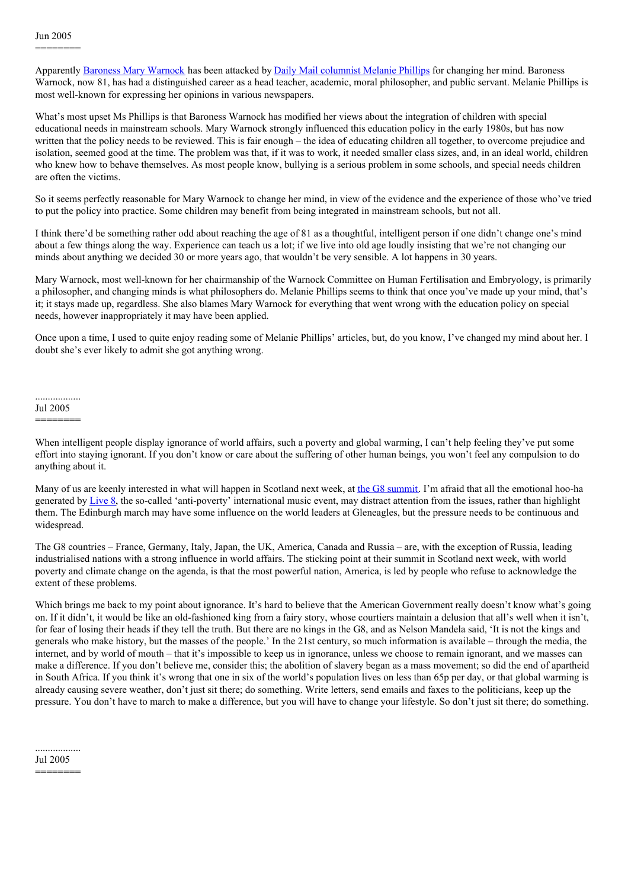Apparently Baroness Mary [Warnock](http://en.wikipedia.org/wiki/Mary_Warnock) has been attacked by Daily Mail [columnist](http://www.melaniephillips.com/articles/archives/001254.html) Melanie Phillips for changing her mind. Baroness Warnock, now 81, has had a distinguished career as a head teacher, academic, moral philosopher, and public servant. Melanie Phillips is most well-known for expressing her opinions in various newspapers.

What's most upset Ms Phillips is that Baroness Warnock has modified her views about the integration of children with special educational needs in mainstream schools. Mary Warnock strongly influenced this education policy in the early 1980s, but has now written that the policy needs to be reviewed. This is fair enough – the idea of educating children all together, to overcome prejudice and isolation, seemed good at the time. The problem was that, if it was to work, it needed smaller class sizes, and, in an ideal world, children who knew how to behave themselves. As most people know, bullying is a serious problem in some schools, and special needs children are often the victims.

So it seems perfectly reasonable for Mary Warnock to change her mind, in view of the evidence and the experience of those who've tried to put the policy into practice. Some children may benefit from being integrated in mainstream schools, but not all.

I think there'd be something rather odd about reaching the age of 81 as a thoughtful, intelligent person if one didn't change one's mind about a few things along the way. Experience can teach us a lot; if we live into old age loudly insisting that we're not changing our minds about anything we decided 30 or more years ago, that wouldn't be very sensible. A lot happens in 30 years.

Mary Warnock, most well-known for her chairmanship of the Warnock Committee on Human Fertilisation and Embryology, is primarily a philosopher, and changing minds is what philosophers do. Melanie Phillips seems to think that once you've made up your mind, that's it; it stays made up, regardless. She also blames Mary Warnock for everything that went wrong with the education policy on special needs, however inappropriately it may have been applied.

Once upon a time, I used to quite enjoy reading some of Melanie Phillips' articles, but, do you know, I've changed my mind about her. I doubt she's ever likely to admit she got anything wrong.

.................. Jul 2005 ========

When intelligent people display ignorance of world affairs, such a poverty and global warming, I can't help feeling they've put some effort into staying ignorant. If you don't know or care about the suffering of other human beings, you won't feel any compulsion to do anything about it.

Many of us are keenly interested in what will happen in Scotland next week, at the G8 [summit](http://www.g8.gov.uk/servlet/Front?pagename=OpenMarket/Xcelerate/ShowPage&c=Page&cid=1078995902703). I'm afraid that all the emotional hoo-ha generated by [Live](http://www.live8live.com/) 8, the so-called 'anti-poverty' international music event, may distract attention from the issues, rather than highlight them. The Edinburgh march may have some influence on the world leaders at Gleneagles, but the pressure needs to be continuous and widespread.

The G8 countries – France, Germany, Italy, Japan, the UK, America, Canada and Russia – are, with the exception of Russia, leading industrialised nations with a strong influence in world affairs. The sticking point at their summit in Scotland next week, with world poverty and climate change on the agenda, is that the most powerful nation, America, is led by people who refuse to acknowledge the extent of these problems.

Which brings me back to my point about ignorance. It's hard to believe that the American Government really doesn't know what's going on. If it didn't, it would be like an old-fashioned king from a fairy story, whose courtiers maintain a delusion that all's well when it isn't, for fear of losing their heads if they tell the truth. But there are no kings in the G8, and as Nelson Mandela said, 'It is not the kings and generals who make history, but the masses of the people.' In the 21st century, so much information is available – through the media, the internet, and by world of mouth – that it's impossible to keep us in ignorance, unless we choose to remain ignorant, and we masses can make a difference. If you don't believe me, consider this; the abolition of slavery began as a mass movement; so did the end of apartheid in South Africa. If you think it's wrong that one in six of the world's population lives on less than 65p per day, or that global warming is already causing severe weather, don't just sit there; do something. Write letters, send emails and faxes to the politicians, keep up the pressure. You don't have to march to make a difference, but you will have to change your lifestyle. So don't just sit there; do something.

.................. Jul 2005

========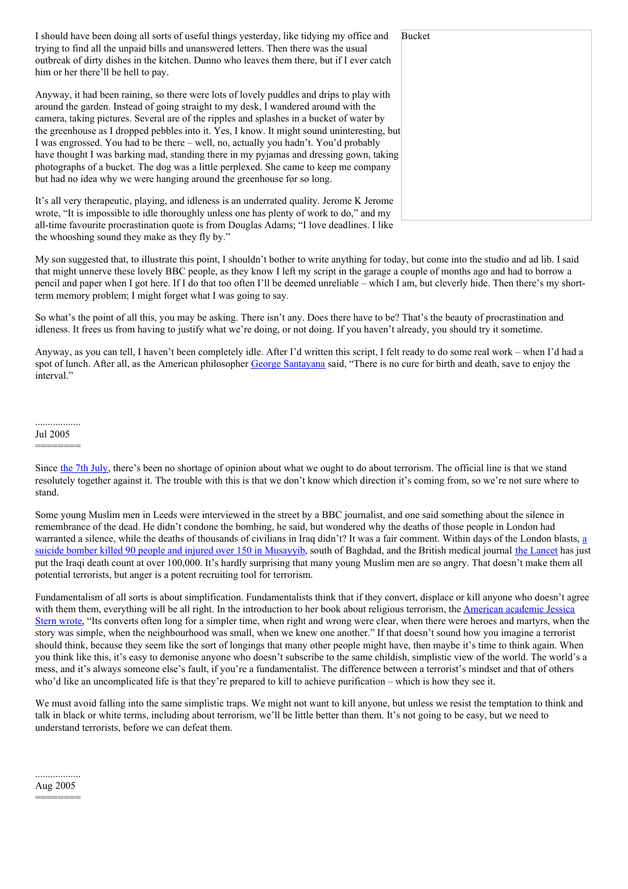| I should have been doing all sorts of useful things yesterday, like tidying my office and<br>trying to find all the unpaid bills and unanswered letters. Then there was the usual<br>outbreak of dirty dishes in the kitchen. Dunno who leaves them there, but if I ever catch<br>him or her there'll be hell to pay. | Bucket |
|-----------------------------------------------------------------------------------------------------------------------------------------------------------------------------------------------------------------------------------------------------------------------------------------------------------------------|--------|
| Anyway, it had been raining, so there were lots of lovely puddles and drips to play with                                                                                                                                                                                                                              |        |
| around the garden. Instead of going straight to my desk, I wandered around with the                                                                                                                                                                                                                                   |        |
| camera, taking pictures. Several are of the ripples and splashes in a bucket of water by                                                                                                                                                                                                                              |        |
| the greenhouse as I dropped pebbles into it. Yes, I know. It might sound uninteresting, but                                                                                                                                                                                                                           |        |
| I was engrossed. You had to be there – well, no, actually you hadn't. You'd probably                                                                                                                                                                                                                                  |        |
| have thought I was barking mad, standing there in my pyjamas and dressing gown, taking                                                                                                                                                                                                                                |        |
| photographs of a bucket. The dog was a little perplexed. She came to keep me company                                                                                                                                                                                                                                  |        |
| but had no idea why we were hanging around the greenhouse for so long.                                                                                                                                                                                                                                                |        |
| It's all very therapeutic, playing, and idleness is an underrated quality. Jerome K Jerome                                                                                                                                                                                                                            |        |
| wrote, "It is impossible to idle thoroughly unless one has plenty of work to do," and my                                                                                                                                                                                                                              |        |
| all-time favourite procrastination quote is from Douglas Adams; "I love deadlines. I like                                                                                                                                                                                                                             |        |

My son suggested that, to illustrate this point, I shouldn't bother to write anything for today, but come into the studio and ad lib. I said that might unnerve these lovely BBC people, as they know I left my script in the garage a couple of months ago and had to borrow a pencil and paper when I got here. If I do that too often I'll be deemed unreliable – which I am, but cleverly hide. Then there's my shortterm memory problem; I might forget what I was going to say.

So what's the point of all this, you may be asking. There isn't any. Does there have to be? That's the beauty of procrastination and idleness. It frees us from having to justify what we're doing, or not doing. If you haven't already, you should try it sometime.

Anyway, as you can tell, I haven't been completely idle. After I'd written this script, I felt ready to do some real work – when I'd had a spot of lunch. After all, as the American philosopher George [Santayana](http://en.wikipedia.org/wiki/George_Santayana) said, "There is no cure for birth and death, save to enjoy the interval."

#### .................. Jul 2005

========

the whooshing sound they make as they fly by."

Some young Muslim men in Leeds were interviewed in the street by a BBC journalist, and one said something about the silence in remembrance of the dead. He didn't condone the bombing, he said, but wondered why the deaths of those people in London had warranted a silence, while the deaths of [thousands](http://news.bbc.co.uk/2/hi/middle_east/4689809.stm) of civilians in Iraq didn't? It was a fair comment. Within days of the London blasts, a suicide bomber killed 90 people and injured over 150 in Musayyib, south of Baghdad, and the British medical journal the [Lancet](http://news.bbc.co.uk/2/hi/middle_east/3962969.stm) has just put the Iraqi death count at over 100,000. It's hardly surprising that many young Muslim men are so angry. That doesn't make them all potential terrorists, but anger is a potent recruiting tool for terrorism.

Fundamentalism of all sorts is about simplification. Fundamentalists think that if they convert, displace or kill anyone who doesn't agree with them them, everything will be all right. In the [introduction](http://www.amazon.co.uk/exec/obidos/ASIN/0060505338/qid=1146925482/sr=2-1/ref=sr_2_3_1/202-6344564-8743064) to her book about religious terrorism, the American academic Jessica Stern wrote, "Its converts often long for a simpler time, when right and wrong were clear, when there were heroes and martyrs, when the story was simple, when the neighbourhood was small, when we knew one another." If that doesn't sound how you imagine a terrorist should think, because they seem like the sort of longings that many other people might have, then maybe it's time to think again. When you think like this, it's easy to demonise anyone who doesn't subscribe to the same childish, simplistic view of the world. The world's a mess, and it's always someone else's fault, if you're a fundamentalist. The difference between a terrorist's mindset and that of others who'd like an uncomplicated life is that they're prepared to kill to achieve purification – which is how they see it.

We must avoid falling into the same simplistic traps. We might not want to kill anyone, but unless we resist the temptation to think and talk in black or white terms, including about terrorism, we'll be little better than them. It's not going to be easy, but we need to understand terrorists, before we can defeat them.

## .................. Aug 2005

========

Since the 7th [July](http://news.bbc.co.uk/1/hi/in_depth/uk/2005/london_explosions/default.stm), there's been no shortage of opinion about what we ought to do about terrorism. The official line is that we stand resolutely together against it. The trouble with this is that we don't know which direction it's coming from, so we're not sure where to stand.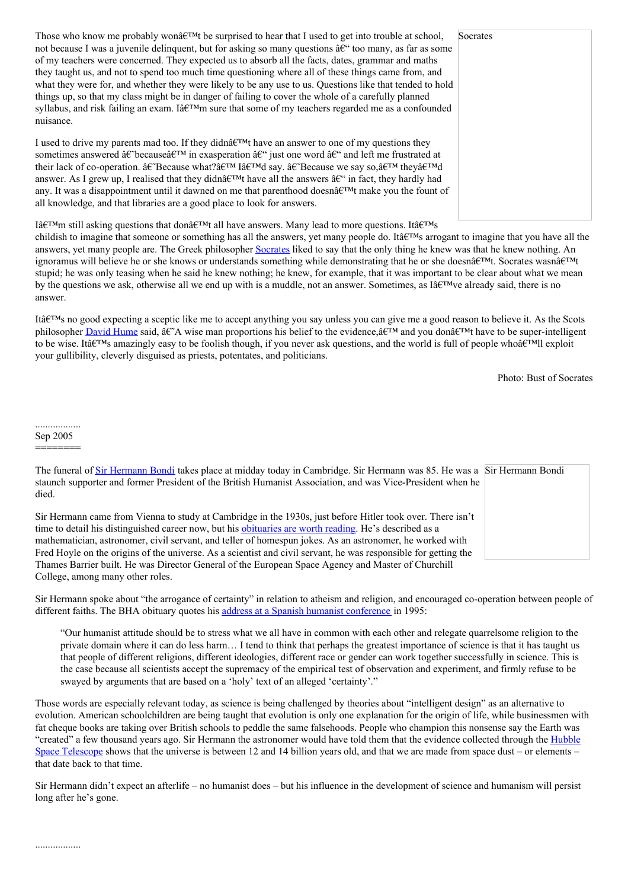Those who know me probably won $\hat{\mathbf{a}} \in \mathbb{R}^{T M}$  be surprised to hear that I used to get into trouble at school, not because I was a juvenile delinquent, but for asking so many questions  $\hat{a} \in \hat{\theta}$  too many, as far as some of my teachers were concerned. They expected us to absorb all the facts, dates, grammar and maths they taught us, and not to spend too much time questioning where all of these things came from, and what they were for, and whether they were likely to be any use to us. Questions like that tended to hold things up, so that my class might be in danger of failing to cover the whole of a carefully planned syllabus, and risk failing an exam. Iâ $\epsilon^{TM}$ m sure that some of my teachers regarded me as a confounded nuisance.

I used to drive my parents mad too. If they didn $\hat{\mathfrak{g}} \in \mathbb{R}^{M}$  have an answer to one of my questions they sometimes answered  $\hat{a} \in \hat{C}$  because $\hat{a} \in \hat{C}$  in exasperation  $\hat{a} \in \hat{C}$  just one word  $\hat{a} \in \hat{C}$  and left me frustrated at their lack of co-operation.  $\hat{a}\in \text{Because what?}\hat{a}\in \text{TM}$  I $\hat{a}\in \text{TM}$  asy.  $\hat{a}\in \text{Because we say so,}\hat{a}\in \text{TM}$  they $\hat{a}\in \text{TM}$ answer. As I grew up, I realised that they didn $\hat{a} \in T^M$ t have all the answers  $\hat{a} \in T^M$  in fact, they hardly had any. It was a disappointment until it dawned on me that parenthood doesn $\hat{a} \in \mathbb{R}^{M}$ t make you the fount of all knowledge, and that libraries are a good place to look for answers.

I $\hat{H}$ <sup>TM</sup>m still asking questions that don $\hat{H}^{\text{TM}}$  all have answers. Many lead to more questions. It  $\hat{H}^{\text{TM}}$ 

childish to imagine that someone or something has all the answers, yet many people do. It a  $\mathbb{R}^{TM}$ s arrogant to imagine that you have all the answers, yet many people are. The Greek philosopher [Socrates](http://en.wikipedia.org/wiki/Socrates) liked to say that the only thing he knew was that he knew nothing. An ignoramus will believe he or she knows or understands something while demonstrating that he or she doesn $\hat{a}\in\mathbb{M}$ t. Socrates wasn $\hat{a}\in\mathbb{M}$ t stupid; he was only teasing when he said he knew nothing; he knew, for example, that it was important to be clear about what we mean by the questions we ask, otherwise all we end up with is a muddle, not an answer. Sometimes, as I $\hat{a} \in \mathbb{R}^N$  already said, there is no answer.

Itâ $\epsilon_{\text{IMS}}$  no good expecting a sceptic like me to accept anything you say unless you can give me a good reason to believe it. As the Scots philosopher [David](http://en.wikipedia.org/wiki/David_Hume) Hume said,  $\hat{a}\hat{\epsilon}^A$  wise man proportions his belief to the evidence,  $\hat{a}\hat{\epsilon}^T M$  and you don $\hat{a}\hat{\epsilon}^T M$  have to be super-intelligent to be wise. It at  $\mathbb{R}^m$  amazingly easy to be foolish though, if you never ask questions, and the world is full of people who  $\mathbb{R}^m$ ll exploit your gullibility, cleverly disguised as priests, potentates, and politicians.

Photo: Bust of Socrates

.................. Sep 2005

========

..................

| The funeral of Sir Hermann Bondi takes place at midday today in Cambridge. Sir Hermann was 85. He was a Sir Hermann Bondi<br>staunch supporter and former President of the British Humanist Association, and was Vice-President when he<br>died.                                                                                                                                                                                                    |  |
|-----------------------------------------------------------------------------------------------------------------------------------------------------------------------------------------------------------------------------------------------------------------------------------------------------------------------------------------------------------------------------------------------------------------------------------------------------|--|
| Sir Hermann came from Vienna to study at Cambridge in the 1930s, just before Hitler took over. There isn't<br>time to detail his distinguished career now, but his obttuaries are worth reading. He's described as a<br>mathematician, astronomer, civil servant, and teller of homespun jokes. As an astronomer, he worked with<br>Fred Hoyle on the origins of the universe. As a scientist and civil servant, he was responsible for getting the |  |
| Thames Barrier built. He was Director General of the European Space Agency and Master of Churchill                                                                                                                                                                                                                                                                                                                                                  |  |

College, among many other roles.

Sir Hermann spoke about "the arrogance of certainty" in relation to atheism and religion, and encouraged co-operation between people of different faiths. The BHA obituary quotes his address at a Spanish humanist [conference](http://www.humanism.org.uk/site/cms/contentviewarticle.asp?article=1956&splash=yes) in 1995:

"Our humanist attitude should be to stress what we all have in common with each other and relegate quarrelsome religion to the private domain where it can do less harm… I tend to think that perhaps the greatest importance of science is that it has taught us that people of different religions, different ideologies, different race or gender can work together successfully in science. This is the case because all scientists accept the supremacy of the empirical test of observation and experiment, and firmly refuse to be swayed by arguments that are based on a 'holy' text of an alleged 'certainty'."

Those words are especially relevant today, as science is being challenged by theories about "intelligent design" as an alternative to evolution. American schoolchildren are being taught that evolution is only one explanation for the origin of life, while businessmen with fat cheque books are taking over British schools to peddle the same falsehoods. People who champion this nonsense say the Earth was "created" a few thousand years ago. Sir Hermann the [astronomer](http://hubblesite.org/) would have told them that the evidence collected through the Hubble Space Telescope shows that the universe is between 12 and 14 billion years old, and that we are made from space dust – or elements – that date back to that time.

Sir Hermann didn't expect an afterlife – no humanist does – but his influence in the development of science and humanism will persist long after he's gone.

| Socrates |  |  |
|----------|--|--|
|          |  |  |
|          |  |  |
|          |  |  |
|          |  |  |
|          |  |  |
|          |  |  |
|          |  |  |
|          |  |  |
|          |  |  |
|          |  |  |
|          |  |  |
|          |  |  |
|          |  |  |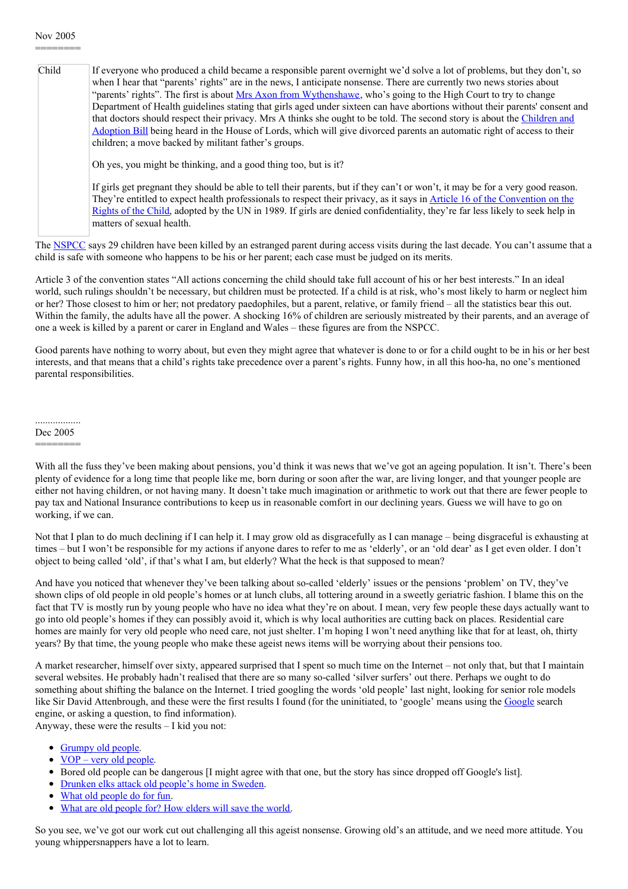## Nov 2005 ========

| Child | If everyone who produced a child became a responsible parent overnight we'd solve a lot of problems, but they don't, so<br>when I hear that "parents' rights" are in the news, I anticipate nonsense. There are currently two news stories about<br>"parents' rights". The first is about Mrs Axon from Wythenshawe, who's going to the High Court to try to change<br>Department of Health guidelines stating that girls aged under sixteen can have abortions without their parents' consent and<br>that doctors should respect their privacy. Mrs A thinks she ought to be told. The second story is about the Children and<br>Adoption Bill being heard in the House of Lords, which will give divorced parents an automatic right of access to their<br>children; a move backed by militant father's groups. |
|-------|-------------------------------------------------------------------------------------------------------------------------------------------------------------------------------------------------------------------------------------------------------------------------------------------------------------------------------------------------------------------------------------------------------------------------------------------------------------------------------------------------------------------------------------------------------------------------------------------------------------------------------------------------------------------------------------------------------------------------------------------------------------------------------------------------------------------|
|       | Oh yes, you might be thinking, and a good thing too, but is it?                                                                                                                                                                                                                                                                                                                                                                                                                                                                                                                                                                                                                                                                                                                                                   |
|       | If girls get pregnant they should be able to tell their parents, but if they can't or won't, it may be for a very good reason.<br>They're entitled to expect health professionals to respect their privacy, as it says in Article 16 of the Convention on the<br>Rights of the Child, adopted by the UN in 1989. If girls are denied confidentiality, they're far less likely to seek help in<br>matters of sexual health.                                                                                                                                                                                                                                                                                                                                                                                        |

The [NSPCC](http://www.nspcc.org.uk/) says 29 children have been killed by an estranged parent during access visits during the last decade. You can't assume that a child is safe with someone who happens to be his or her parent; each case must be judged on its merits.

Article 3 of the convention states "All actions concerning the child should take full account of his or her best interests." In an ideal world, such rulings shouldn't be necessary, but children must be protected. If a child is at risk, who's most likely to harm or neglect him or her? Those closest to him or her; not predatory paedophiles, but a parent, relative, or family friend – all the statistics bear this out. Within the family, the adults have all the power. A shocking 16% of children are seriously mistreated by their parents, and an average of one a week is killed by a parent or carer in England and Wales – these figures are from the NSPCC.

Good parents have nothing to worry about, but even they might agree that whatever is done to or for a child ought to be in his or her best interests, and that means that a child's rights take precedence over a parent's rights. Funny how, in all this hoo-ha, no one's mentioned parental responsibilities.

.................. Dec 2005

========

With all the fuss they've been making about pensions, you'd think it was news that we've got an ageing population. It isn't. There's been plenty of evidence for a long time that people like me, born during or soon after the war, are living longer, and that younger people are either not having children, or not having many. It doesn't take much imagination or arithmetic to work out that there are fewer people to pay tax and National Insurance contributions to keep us in reasonable comfort in our declining years. Guess we will have to go on working, if we can.

Not that I plan to do much declining if I can help it. I may grow old as disgracefully as I can manage – being disgraceful is exhausting at times – but I won't be responsible for my actions if anyone dares to refer to me as 'elderly', or an 'old dear' as I get even older. I don't object to being called 'old', if that's what I am, but elderly? What the heck is that supposed to mean?

And have you noticed that whenever they've been talking about so-called 'elderly' issues or the pensions 'problem' on TV, they've shown clips of old people in old people's homes or at lunch clubs, all tottering around in a sweetly geriatric fashion. I blame this on the fact that TV is mostly run by young people who have no idea what they're on about. I mean, very few people these days actually want to go into old people's homes if they can possibly avoid it, which is why local authorities are cutting back on places. Residential care homes are mainly for very old people who need care, not just shelter. I'm hoping I won't need anything like that for at least, oh, thirty years? By that time, the young people who make these ageist news items will be worrying about their pensions too.

A market researcher, himself over sixty, appeared surprised that I spent so much time on the Internet – not only that, but that I maintain several websites. He probably hadn't realised that there are so many so-called 'silver surfers' out there. Perhaps we ought to do something about shifting the balance on the Internet. I tried googling the words 'old people' last night, looking for senior role models like Sir David Attenbrough, and these were the first results I found (for the uninitiated, to 'google' means using the [Google](http://www.google.co.uk/) search engine, or asking a question, to find information).

Anyway, these were the results – I kid you not:

- [Grumpy](http://usability.typepad.com/grumpy_old_people/) old people.
- $\bullet$  <u>VOP very old [people](http://www.factmonster.com/ipka/A0769752.html)</u>.
- Bored old people can be dangerous [I might agree with that one, but the story has since dropped off Google's list].
- [Drunken](http://www.guardian.co.uk/international/story/0,3604,1639965,00.html) elks attack old people's home in Sweden.
- What old [people](http://video.google.com/videoplay?docid=-8735889757702013026) do for fun.
- What are old [people](http://www.amazon.co.uk/exec/obidos/ASIN/1889242209/qid=1146929653/202-6344564-8743064) for? How elders will save the world.

So you see, we've got our work cut out challenging all this ageist nonsense. Growing old's an attitude, and we need more attitude. You young whippersnappers have a lot to learn.